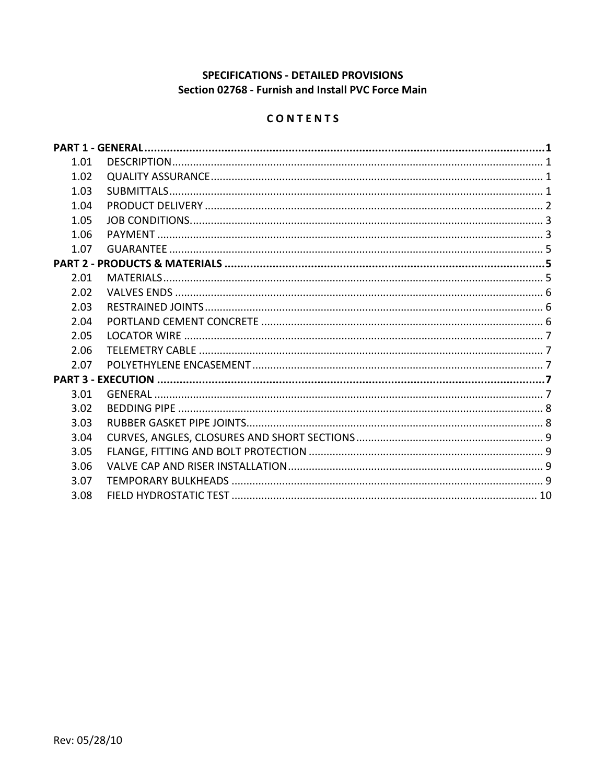## SPECIFICATIONS - DETAILED PROVISIONS Section 02768 - Furnish and Install PVC Force Main

# CONTENTS

| 1.01 |  |
|------|--|
| 1.02 |  |
| 1.03 |  |
| 1.04 |  |
| 1.05 |  |
| 1.06 |  |
| 1.07 |  |
|      |  |
| 2.01 |  |
| 2.02 |  |
| 2.03 |  |
| 2.04 |  |
| 2.05 |  |
| 2.06 |  |
| 2.07 |  |
|      |  |
| 3.01 |  |
| 3.02 |  |
| 3.03 |  |
| 3.04 |  |
| 3.05 |  |
| 3.06 |  |
| 3.07 |  |
| 3.08 |  |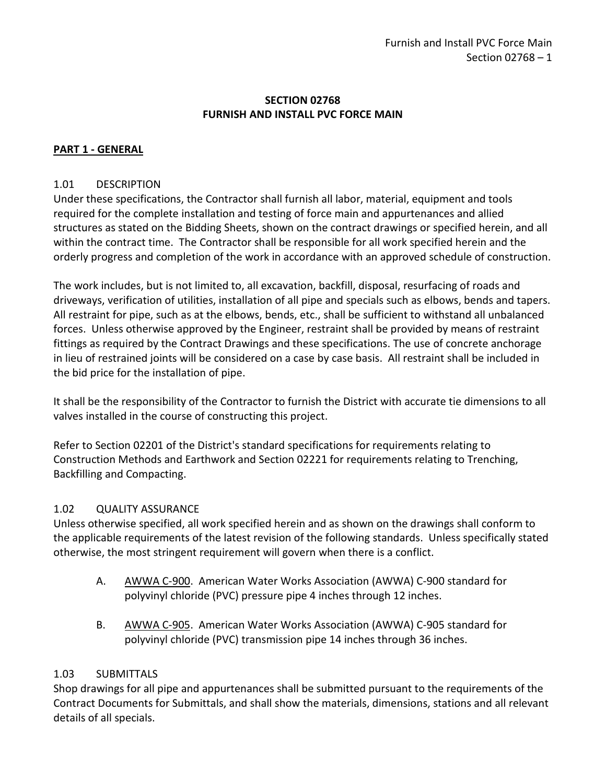### **SECTION 02768 FURNISH AND INSTALL PVC FORCE MAIN**

# <span id="page-2-0"></span>**PART 1 - GENERAL**

### <span id="page-2-1"></span>1.01 DESCRIPTION

Under these specifications, the Contractor shall furnish all labor, material, equipment and tools required for the complete installation and testing of force main and appurtenances and allied structures as stated on the Bidding Sheets, shown on the contract drawings or specified herein, and all within the contract time. The Contractor shall be responsible for all work specified herein and the orderly progress and completion of the work in accordance with an approved schedule of construction.

The work includes, but is not limited to, all excavation, backfill, disposal, resurfacing of roads and driveways, verification of utilities, installation of all pipe and specials such as elbows, bends and tapers. All restraint for pipe, such as at the elbows, bends, etc., shall be sufficient to withstand all unbalanced forces. Unless otherwise approved by the Engineer, restraint shall be provided by means of restraint fittings as required by the Contract Drawings and these specifications. The use of concrete anchorage in lieu of restrained joints will be considered on a case by case basis. All restraint shall be included in the bid price for the installation of pipe.

It shall be the responsibility of the Contractor to furnish the District with accurate tie dimensions to all valves installed in the course of constructing this project.

Refer to Section 02201 of the District's standard specifications for requirements relating to Construction Methods and Earthwork and Section 02221 for requirements relating to Trenching, Backfilling and Compacting.

#### <span id="page-2-2"></span>1.02 QUALITY ASSURANCE

Unless otherwise specified, all work specified herein and as shown on the drawings shall conform to the applicable requirements of the latest revision of the following standards. Unless specifically stated otherwise, the most stringent requirement will govern when there is a conflict.

- A. AWWA C-900. American Water Works Association (AWWA) C-900 standard for polyvinyl chloride (PVC) pressure pipe 4 inches through 12 inches.
- B. AWWA C-905. American Water Works Association (AWWA) C-905 standard for polyvinyl chloride (PVC) transmission pipe 14 inches through 36 inches.

#### <span id="page-2-3"></span>1.03 SUBMITTALS

Shop drawings for all pipe and appurtenances shall be submitted pursuant to the requirements of the Contract Documents for Submittals, and shall show the materials, dimensions, stations and all relevant details of all specials.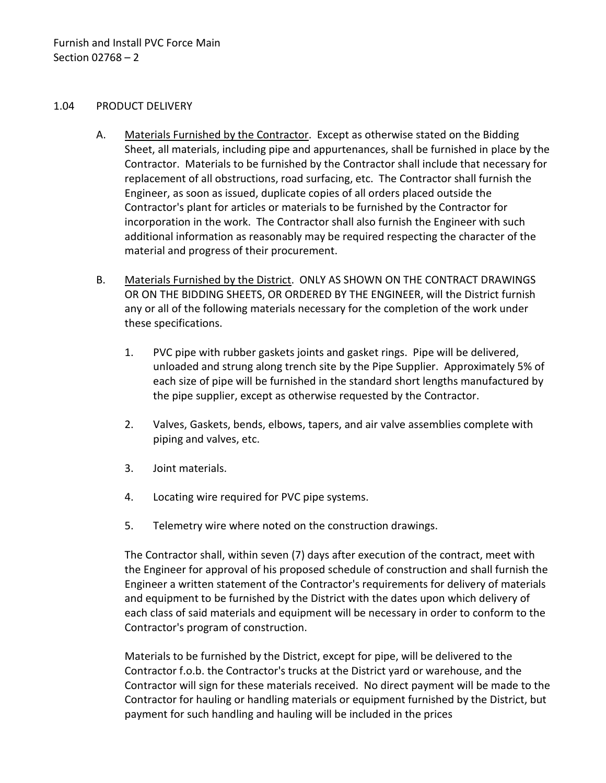#### <span id="page-3-0"></span>1.04 PRODUCT DELIVERY

- A. Materials Furnished by the Contractor. Except as otherwise stated on the Bidding Sheet, all materials, including pipe and appurtenances, shall be furnished in place by the Contractor. Materials to be furnished by the Contractor shall include that necessary for replacement of all obstructions, road surfacing, etc. The Contractor shall furnish the Engineer, as soon as issued, duplicate copies of all orders placed outside the Contractor's plant for articles or materials to be furnished by the Contractor for incorporation in the work. The Contractor shall also furnish the Engineer with such additional information as reasonably may be required respecting the character of the material and progress of their procurement.
- B. Materials Furnished by the District. ONLY AS SHOWN ON THE CONTRACT DRAWINGS OR ON THE BIDDING SHEETS, OR ORDERED BY THE ENGINEER, will the District furnish any or all of the following materials necessary for the completion of the work under these specifications.
	- 1. PVC pipe with rubber gaskets joints and gasket rings. Pipe will be delivered, unloaded and strung along trench site by the Pipe Supplier. Approximately 5% of each size of pipe will be furnished in the standard short lengths manufactured by the pipe supplier, except as otherwise requested by the Contractor.
	- 2. Valves, Gaskets, bends, elbows, tapers, and air valve assemblies complete with piping and valves, etc.
	- 3. Joint materials.
	- 4. Locating wire required for PVC pipe systems.
	- 5. Telemetry wire where noted on the construction drawings.

The Contractor shall, within seven (7) days after execution of the contract, meet with the Engineer for approval of his proposed schedule of construction and shall furnish the Engineer a written statement of the Contractor's requirements for delivery of materials and equipment to be furnished by the District with the dates upon which delivery of each class of said materials and equipment will be necessary in order to conform to the Contractor's program of construction.

Materials to be furnished by the District, except for pipe, will be delivered to the Contractor f.o.b. the Contractor's trucks at the District yard or warehouse, and the Contractor will sign for these materials received. No direct payment will be made to the Contractor for hauling or handling materials or equipment furnished by the District, but payment for such handling and hauling will be included in the prices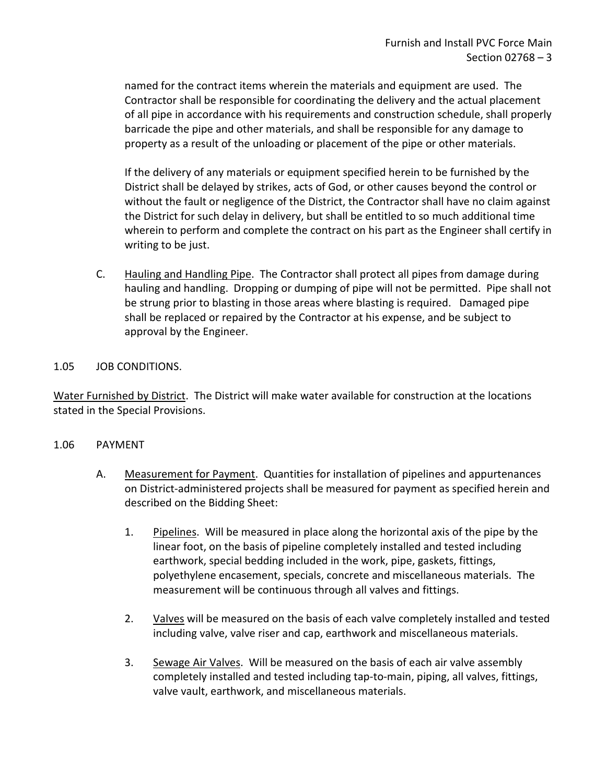named for the contract items wherein the materials and equipment are used. The Contractor shall be responsible for coordinating the delivery and the actual placement of all pipe in accordance with his requirements and construction schedule, shall properly barricade the pipe and other materials, and shall be responsible for any damage to property as a result of the unloading or placement of the pipe or other materials.

If the delivery of any materials or equipment specified herein to be furnished by the District shall be delayed by strikes, acts of God, or other causes beyond the control or without the fault or negligence of the District, the Contractor shall have no claim against the District for such delay in delivery, but shall be entitled to so much additional time wherein to perform and complete the contract on his part as the Engineer shall certify in writing to be just.

C. Hauling and Handling Pipe. The Contractor shall protect all pipes from damage during hauling and handling. Dropping or dumping of pipe will not be permitted. Pipe shall not be strung prior to blasting in those areas where blasting is required. Damaged pipe shall be replaced or repaired by the Contractor at his expense, and be subject to approval by the Engineer.

### <span id="page-4-0"></span>1.05 JOB CONDITIONS.

Water Furnished by District. The District will make water available for construction at the locations stated in the Special Provisions.

#### <span id="page-4-1"></span>1.06 PAYMENT

- A. Measurement for Payment. Quantities for installation of pipelines and appurtenances on District-administered projects shall be measured for payment as specified herein and described on the Bidding Sheet:
	- 1. Pipelines. Will be measured in place along the horizontal axis of the pipe by the linear foot, on the basis of pipeline completely installed and tested including earthwork, special bedding included in the work, pipe, gaskets, fittings, polyethylene encasement, specials, concrete and miscellaneous materials. The measurement will be continuous through all valves and fittings.
	- 2. Valves will be measured on the basis of each valve completely installed and tested including valve, valve riser and cap, earthwork and miscellaneous materials.
	- 3. Sewage Air Valves. Will be measured on the basis of each air valve assembly completely installed and tested including tap-to-main, piping, all valves, fittings, valve vault, earthwork, and miscellaneous materials.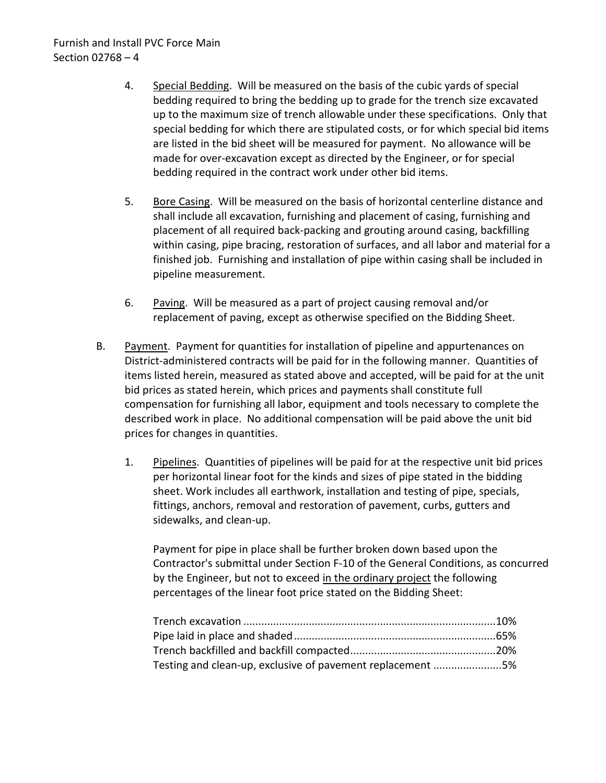- 4. Special Bedding. Will be measured on the basis of the cubic yards of special bedding required to bring the bedding up to grade for the trench size excavated up to the maximum size of trench allowable under these specifications. Only that special bedding for which there are stipulated costs, or for which special bid items are listed in the bid sheet will be measured for payment. No allowance will be made for over-excavation except as directed by the Engineer, or for special bedding required in the contract work under other bid items.
- 5. Bore Casing. Will be measured on the basis of horizontal centerline distance and shall include all excavation, furnishing and placement of casing, furnishing and placement of all required back-packing and grouting around casing, backfilling within casing, pipe bracing, restoration of surfaces, and all labor and material for a finished job. Furnishing and installation of pipe within casing shall be included in pipeline measurement.
- 6. Paving. Will be measured as a part of project causing removal and/or replacement of paving, except as otherwise specified on the Bidding Sheet.
- B. Payment. Payment for quantities for installation of pipeline and appurtenances on District-administered contracts will be paid for in the following manner. Quantities of items listed herein, measured as stated above and accepted, will be paid for at the unit bid prices as stated herein, which prices and payments shall constitute full compensation for furnishing all labor, equipment and tools necessary to complete the described work in place. No additional compensation will be paid above the unit bid prices for changes in quantities.
	- 1. Pipelines. Quantities of pipelines will be paid for at the respective unit bid prices per horizontal linear foot for the kinds and sizes of pipe stated in the bidding sheet. Work includes all earthwork, installation and testing of pipe, specials, fittings, anchors, removal and restoration of pavement, curbs, gutters and sidewalks, and clean-up.

Payment for pipe in place shall be further broken down based upon the Contractor's submittal under Section F-10 of the General Conditions, as concurred by the Engineer, but not to exceed in the ordinary project the following percentages of the linear foot price stated on the Bidding Sheet:

| Testing and clean-up, exclusive of pavement replacement 5% |  |
|------------------------------------------------------------|--|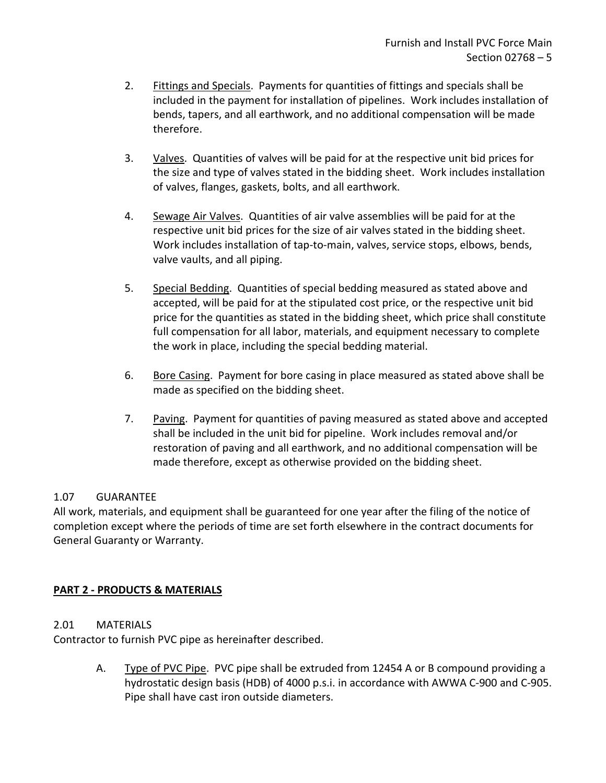- 2. Fittings and Specials. Payments for quantities of fittings and specials shall be included in the payment for installation of pipelines. Work includes installation of bends, tapers, and all earthwork, and no additional compensation will be made therefore.
- 3. Valves. Quantities of valves will be paid for at the respective unit bid prices for the size and type of valves stated in the bidding sheet. Work includes installation of valves, flanges, gaskets, bolts, and all earthwork.
- 4. Sewage Air Valves. Quantities of air valve assemblies will be paid for at the respective unit bid prices for the size of air valves stated in the bidding sheet. Work includes installation of tap-to-main, valves, service stops, elbows, bends, valve vaults, and all piping.
- 5. Special Bedding. Quantities of special bedding measured as stated above and accepted, will be paid for at the stipulated cost price, or the respective unit bid price for the quantities as stated in the bidding sheet, which price shall constitute full compensation for all labor, materials, and equipment necessary to complete the work in place, including the special bedding material.
- 6. Bore Casing. Payment for bore casing in place measured as stated above shall be made as specified on the bidding sheet.
- 7. Paving. Payment for quantities of paving measured as stated above and accepted shall be included in the unit bid for pipeline. Work includes removal and/or restoration of paving and all earthwork, and no additional compensation will be made therefore, except as otherwise provided on the bidding sheet.

# <span id="page-6-0"></span>1.07 GUARANTEE

All work, materials, and equipment shall be guaranteed for one year after the filing of the notice of completion except where the periods of time are set forth elsewhere in the contract documents for General Guaranty or Warranty.

# <span id="page-6-1"></span>**PART 2 - PRODUCTS & MATERIALS**

### <span id="page-6-2"></span>2.01 MATERIALS

Contractor to furnish PVC pipe as hereinafter described.

A. Type of PVC Pipe. PVC pipe shall be extruded from 12454 A or B compound providing a hydrostatic design basis (HDB) of 4000 p.s.i. in accordance with AWWA C-900 and C-905. Pipe shall have cast iron outside diameters.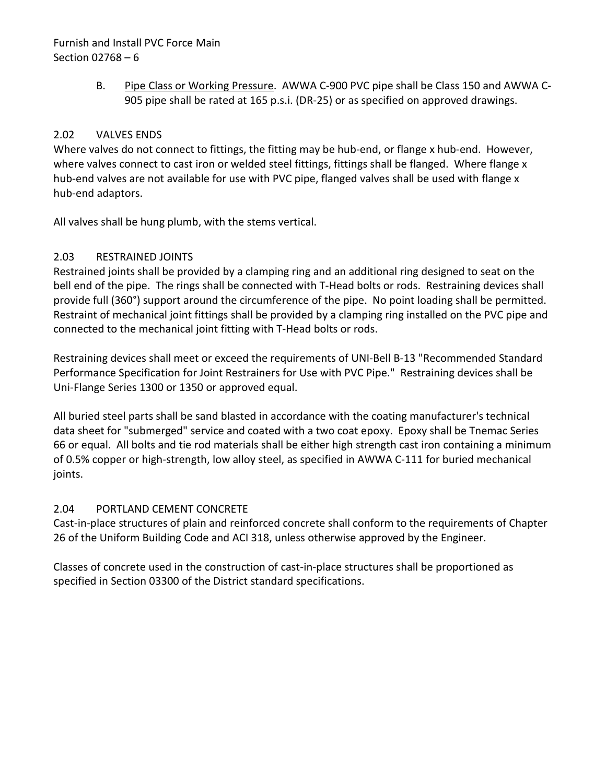# Furnish and Install PVC Force Main Section 02768 – 6

B. Pipe Class or Working Pressure. AWWA C-900 PVC pipe shall be Class 150 and AWWA C-905 pipe shall be rated at 165 p.s.i. (DR-25) or as specified on approved drawings.

## <span id="page-7-0"></span>2.02 VALVES ENDS

Where valves do not connect to fittings, the fitting may be hub-end, or flange x hub-end. However, where valves connect to cast iron or welded steel fittings, fittings shall be flanged. Where flange x hub-end valves are not available for use with PVC pipe, flanged valves shall be used with flange x hub-end adaptors.

All valves shall be hung plumb, with the stems vertical.

# <span id="page-7-1"></span>2.03 RESTRAINED JOINTS

Restrained joints shall be provided by a clamping ring and an additional ring designed to seat on the bell end of the pipe. The rings shall be connected with T-Head bolts or rods. Restraining devices shall provide full (360°) support around the circumference of the pipe. No point loading shall be permitted. Restraint of mechanical joint fittings shall be provided by a clamping ring installed on the PVC pipe and connected to the mechanical joint fitting with T-Head bolts or rods.

Restraining devices shall meet or exceed the requirements of UNI-Bell B-13 "Recommended Standard Performance Specification for Joint Restrainers for Use with PVC Pipe." Restraining devices shall be Uni-Flange Series 1300 or 1350 or approved equal.

All buried steel parts shall be sand blasted in accordance with the coating manufacturer's technical data sheet for "submerged" service and coated with a two coat epoxy. Epoxy shall be Tnemac Series 66 or equal. All bolts and tie rod materials shall be either high strength cast iron containing a minimum of 0.5% copper or high-strength, low alloy steel, as specified in AWWA C-111 for buried mechanical joints.

### <span id="page-7-2"></span>2.04 PORTLAND CEMENT CONCRETE

Cast-in-place structures of plain and reinforced concrete shall conform to the requirements of Chapter 26 of the Uniform Building Code and ACI 318, unless otherwise approved by the Engineer.

Classes of concrete used in the construction of cast-in-place structures shall be proportioned as specified in Section 03300 of the District standard specifications.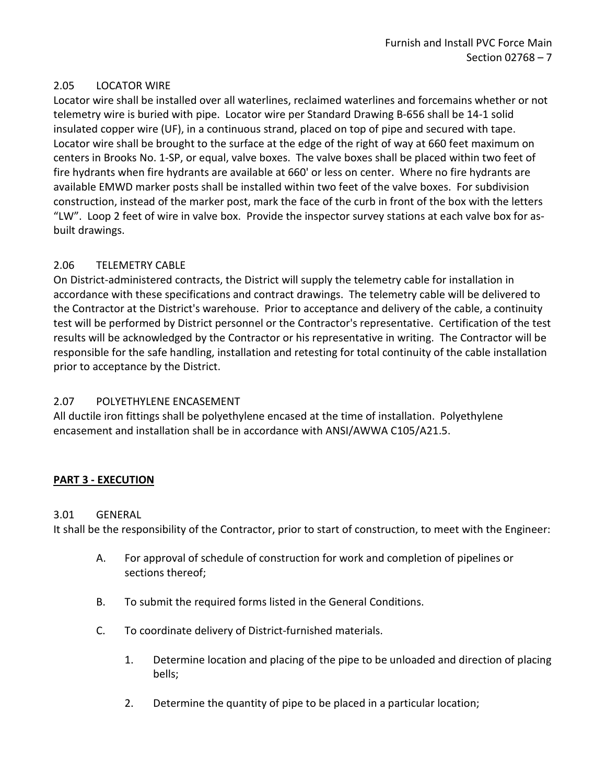### <span id="page-8-0"></span>2.05 LOCATOR WIRE

Locator wire shall be installed over all waterlines, reclaimed waterlines and forcemains whether or not telemetry wire is buried with pipe. Locator wire per Standard Drawing B-656 shall be 14-1 solid insulated copper wire (UF), in a continuous strand, placed on top of pipe and secured with tape. Locator wire shall be brought to the surface at the edge of the right of way at 660 feet maximum on centers in Brooks No. 1-SP, or equal, valve boxes. The valve boxes shall be placed within two feet of fire hydrants when fire hydrants are available at 660' or less on center. Where no fire hydrants are available EMWD marker posts shall be installed within two feet of the valve boxes. For subdivision construction, instead of the marker post, mark the face of the curb in front of the box with the letters "LW". Loop 2 feet of wire in valve box. Provide the inspector survey stations at each valve box for asbuilt drawings.

### <span id="page-8-1"></span>2.06 TELEMETRY CABLE

On District-administered contracts, the District will supply the telemetry cable for installation in accordance with these specifications and contract drawings. The telemetry cable will be delivered to the Contractor at the District's warehouse. Prior to acceptance and delivery of the cable, a continuity test will be performed by District personnel or the Contractor's representative. Certification of the test results will be acknowledged by the Contractor or his representative in writing. The Contractor will be responsible for the safe handling, installation and retesting for total continuity of the cable installation prior to acceptance by the District.

### <span id="page-8-2"></span>2.07 POLYETHYLENE ENCASEMENT

All ductile iron fittings shall be polyethylene encased at the time of installation. Polyethylene encasement and installation shall be in accordance with ANSI/AWWA C105/A21.5.

#### <span id="page-8-3"></span>**PART 3 - EXECUTION**

#### <span id="page-8-4"></span>3.01 GENERAL

It shall be the responsibility of the Contractor, prior to start of construction, to meet with the Engineer:

- A. For approval of schedule of construction for work and completion of pipelines or sections thereof;
- B. To submit the required forms listed in the General Conditions.
- C. To coordinate delivery of District-furnished materials.
	- 1. Determine location and placing of the pipe to be unloaded and direction of placing bells;
	- 2. Determine the quantity of pipe to be placed in a particular location;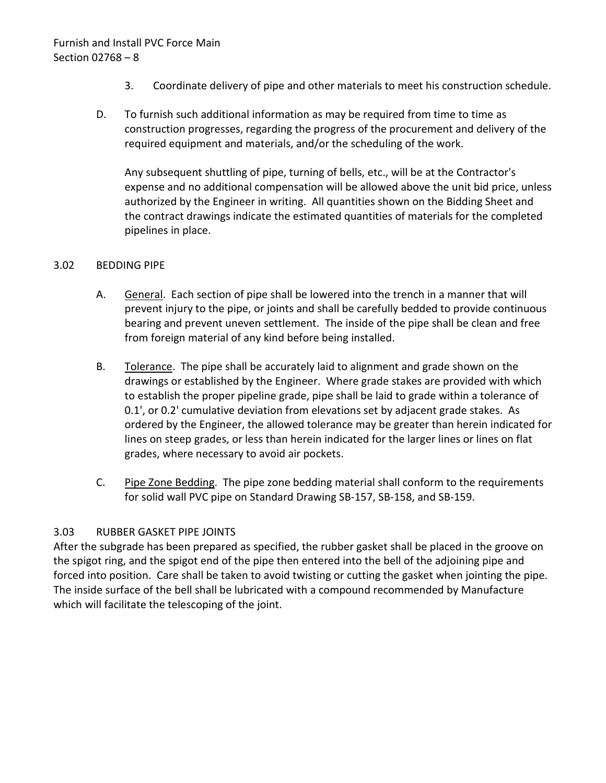- 3. Coordinate delivery of pipe and other materials to meet his construction schedule.
- D. To furnish such additional information as may be required from time to time as construction progresses, regarding the progress of the procurement and delivery of the required equipment and materials, and/or the scheduling of the work.

Any subsequent shuttling of pipe, turning of bells, etc., will be at the Contractor's expense and no additional compensation will be allowed above the unit bid price, unless authorized by the Engineer in writing. All quantities shown on the Bidding Sheet and the contract drawings indicate the estimated quantities of materials for the completed pipelines in place.

#### <span id="page-9-0"></span>3.02 BEDDING PIPE

- A. General. Each section of pipe shall be lowered into the trench in a manner that will prevent injury to the pipe, or joints and shall be carefully bedded to provide continuous bearing and prevent uneven settlement. The inside of the pipe shall be clean and free from foreign material of any kind before being installed.
- B. Tolerance. The pipe shall be accurately laid to alignment and grade shown on the drawings or established by the Engineer. Where grade stakes are provided with which to establish the proper pipeline grade, pipe shall be laid to grade within a tolerance of 0.1', or 0.2' cumulative deviation from elevations set by adjacent grade stakes. As ordered by the Engineer, the allowed tolerance may be greater than herein indicated for lines on steep grades, or less than herein indicated for the larger lines or lines on flat grades, where necessary to avoid air pockets.
- C. Pipe Zone Bedding. The pipe zone bedding material shall conform to the requirements for solid wall PVC pipe on Standard Drawing SB-157, SB-158, and SB-159.

### <span id="page-9-1"></span>3.03 RUBBER GASKET PIPE JOINTS

After the subgrade has been prepared as specified, the rubber gasket shall be placed in the groove on the spigot ring, and the spigot end of the pipe then entered into the bell of the adjoining pipe and forced into position. Care shall be taken to avoid twisting or cutting the gasket when jointing the pipe. The inside surface of the bell shall be lubricated with a compound recommended by Manufacture which will facilitate the telescoping of the joint.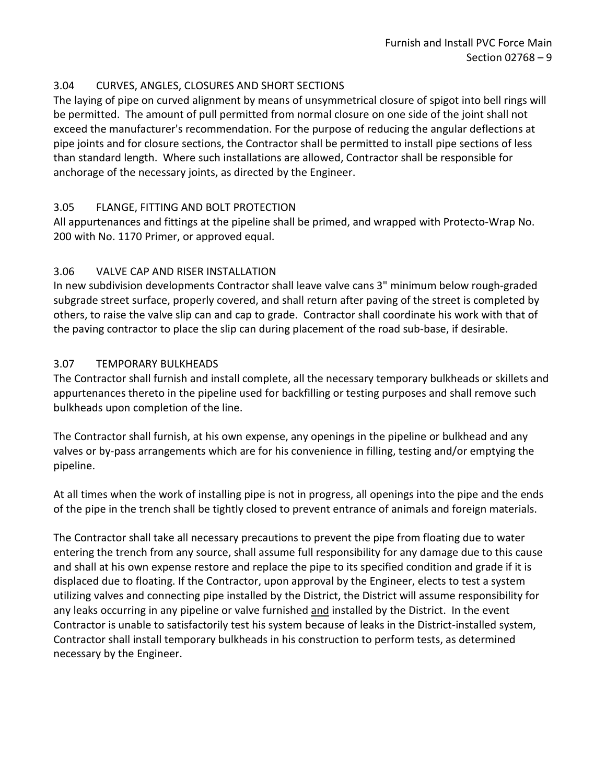### <span id="page-10-0"></span>3.04 CURVES, ANGLES, CLOSURES AND SHORT SECTIONS

The laying of pipe on curved alignment by means of unsymmetrical closure of spigot into bell rings will be permitted. The amount of pull permitted from normal closure on one side of the joint shall not exceed the manufacturer's recommendation. For the purpose of reducing the angular deflections at pipe joints and for closure sections, the Contractor shall be permitted to install pipe sections of less than standard length. Where such installations are allowed, Contractor shall be responsible for anchorage of the necessary joints, as directed by the Engineer.

# <span id="page-10-1"></span>3.05 FLANGE, FITTING AND BOLT PROTECTION

All appurtenances and fittings at the pipeline shall be primed, and wrapped with Protecto-Wrap No. 200 with No. 1170 Primer, or approved equal.

# <span id="page-10-2"></span>3.06 VALVE CAP AND RISER INSTALLATION

In new subdivision developments Contractor shall leave valve cans 3" minimum below rough-graded subgrade street surface, properly covered, and shall return after paving of the street is completed by others, to raise the valve slip can and cap to grade. Contractor shall coordinate his work with that of the paving contractor to place the slip can during placement of the road sub-base, if desirable.

# <span id="page-10-3"></span>3.07 TEMPORARY BULKHEADS

The Contractor shall furnish and install complete, all the necessary temporary bulkheads or skillets and appurtenances thereto in the pipeline used for backfilling or testing purposes and shall remove such bulkheads upon completion of the line.

The Contractor shall furnish, at his own expense, any openings in the pipeline or bulkhead and any valves or by-pass arrangements which are for his convenience in filling, testing and/or emptying the pipeline.

At all times when the work of installing pipe is not in progress, all openings into the pipe and the ends of the pipe in the trench shall be tightly closed to prevent entrance of animals and foreign materials.

The Contractor shall take all necessary precautions to prevent the pipe from floating due to water entering the trench from any source, shall assume full responsibility for any damage due to this cause and shall at his own expense restore and replace the pipe to its specified condition and grade if it is displaced due to floating. If the Contractor, upon approval by the Engineer, elects to test a system utilizing valves and connecting pipe installed by the District, the District will assume responsibility for any leaks occurring in any pipeline or valve furnished and installed by the District. In the event Contractor is unable to satisfactorily test his system because of leaks in the District-installed system, Contractor shall install temporary bulkheads in his construction to perform tests, as determined necessary by the Engineer.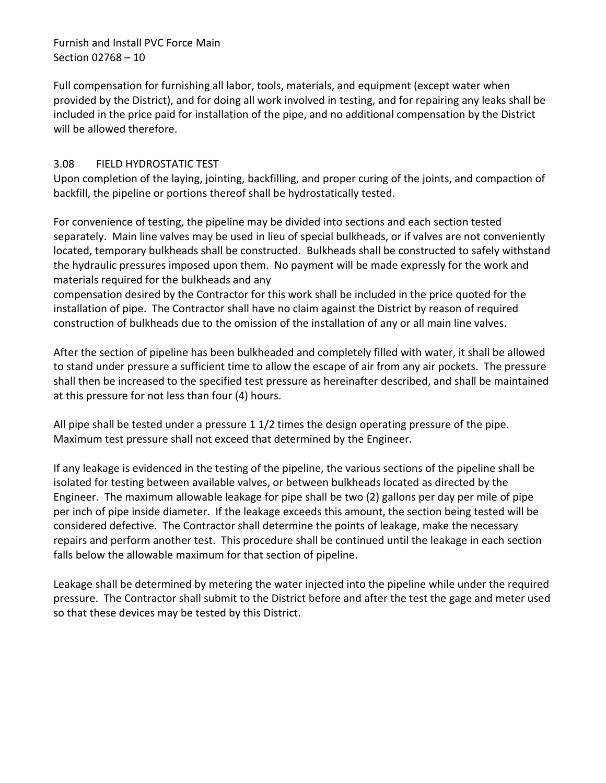Furnish and Install PVC Force Main Section 02768 – 10

Full compensation for furnishing all labor, tools, materials, and equipment (except water when provided by the District), and for doing all work involved in testing, and for repairing any leaks shall be included in the price paid for installation of the pipe, and no additional compensation by the District will be allowed therefore.

### <span id="page-11-0"></span>3.08 FIELD HYDROSTATIC TEST

Upon completion of the laying, jointing, backfilling, and proper curing of the joints, and compaction of backfill, the pipeline or portions thereof shall be hydrostatically tested.

For convenience of testing, the pipeline may be divided into sections and each section tested separately. Main line valves may be used in lieu of special bulkheads, or if valves are not conveniently located, temporary bulkheads shall be constructed. Bulkheads shall be constructed to safely withstand the hydraulic pressures imposed upon them. No payment will be made expressly for the work and materials required for the bulkheads and any

compensation desired by the Contractor for this work shall be included in the price quoted for the installation of pipe. The Contractor shall have no claim against the District by reason of required construction of bulkheads due to the omission of the installation of any or all main line valves.

After the section of pipeline has been bulkheaded and completely filled with water, it shall be allowed to stand under pressure a sufficient time to allow the escape of air from any air pockets. The pressure shall then be increased to the specified test pressure as hereinafter described, and shall be maintained at this pressure for not less than four (4) hours.

All pipe shall be tested under a pressure 1 1/2 times the design operating pressure of the pipe. Maximum test pressure shall not exceed that determined by the Engineer.

If any leakage is evidenced in the testing of the pipeline, the various sections of the pipeline shall be isolated for testing between available valves, or between bulkheads located as directed by the Engineer. The maximum allowable leakage for pipe shall be two (2) gallons per day per mile of pipe per inch of pipe inside diameter. If the leakage exceeds this amount, the section being tested will be considered defective. The Contractor shall determine the points of leakage, make the necessary repairs and perform another test. This procedure shall be continued until the leakage in each section falls below the allowable maximum for that section of pipeline.

Leakage shall be determined by metering the water injected into the pipeline while under the required pressure. The Contractor shall submit to the District before and after the test the gage and meter used so that these devices may be tested by this District.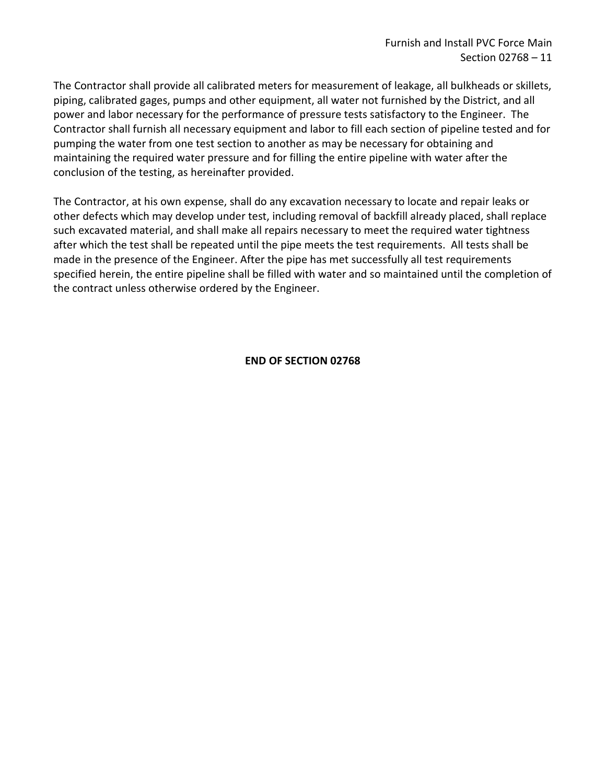The Contractor shall provide all calibrated meters for measurement of leakage, all bulkheads or skillets, piping, calibrated gages, pumps and other equipment, all water not furnished by the District, and all power and labor necessary for the performance of pressure tests satisfactory to the Engineer. The Contractor shall furnish all necessary equipment and labor to fill each section of pipeline tested and for pumping the water from one test section to another as may be necessary for obtaining and maintaining the required water pressure and for filling the entire pipeline with water after the conclusion of the testing, as hereinafter provided.

The Contractor, at his own expense, shall do any excavation necessary to locate and repair leaks or other defects which may develop under test, including removal of backfill already placed, shall replace such excavated material, and shall make all repairs necessary to meet the required water tightness after which the test shall be repeated until the pipe meets the test requirements. All tests shall be made in the presence of the Engineer. After the pipe has met successfully all test requirements specified herein, the entire pipeline shall be filled with water and so maintained until the completion of the contract unless otherwise ordered by the Engineer.

#### **END OF SECTION 02768**